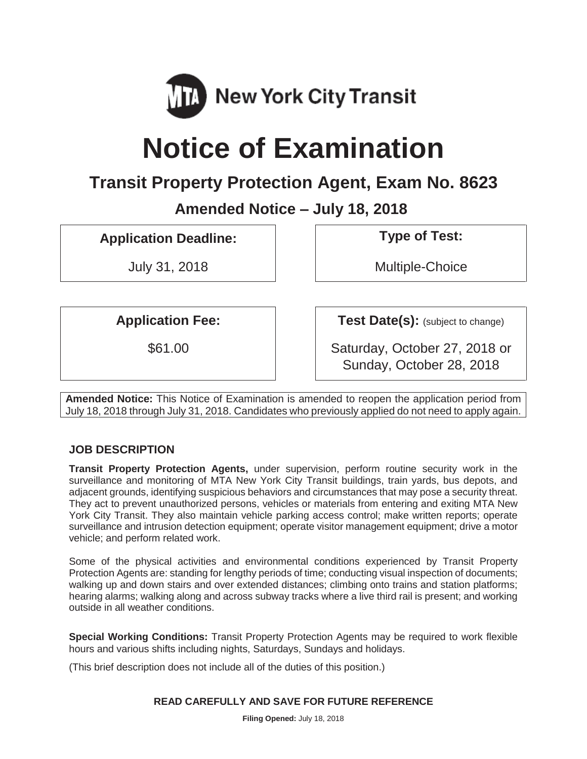

# **Notice of Examination**

# **Transit Property Protection Agent, Exam No. 8623**

**Amended Notice – July 18, 2018** 

**Application Deadline: Type of Test:** 

July 31, 2018 **Multiple-Choice** 

**Application Fee:**  $\qquad$  **Test Date(s):** (subject to change)

\$61.00 Saturday, October 27, 2018 or Sunday, October 28, 2018

**Amended Notice:** This Notice of Examination is amended to reopen the application period from July 18, 2018 through July 31, 2018. Candidates who previously applied do not need to apply again.

# **JOB DESCRIPTION**

**Transit Property Protection Agents,** under supervision, perform routine security work in the surveillance and monitoring of MTA New York City Transit buildings, train yards, bus depots, and adjacent grounds, identifying suspicious behaviors and circumstances that may pose a security threat. They act to prevent unauthorized persons, vehicles or materials from entering and exiting MTA New York City Transit. They also maintain vehicle parking access control; make written reports; operate surveillance and intrusion detection equipment; operate visitor management equipment; drive a motor vehicle; and perform related work.

Some of the physical activities and environmental conditions experienced by Transit Property Protection Agents are: standing for lengthy periods of time; conducting visual inspection of documents; walking up and down stairs and over extended distances; climbing onto trains and station platforms; hearing alarms; walking along and across subway tracks where a live third rail is present; and working outside in all weather conditions.

**Special Working Conditions:** Transit Property Protection Agents may be required to work flexible hours and various shifts including nights, Saturdays, Sundays and holidays.

(This brief description does not include all of the duties of this position.)

#### **READ CAREFULLY AND SAVE FOR FUTURE REFERENCE**

**Filing Opened:** July 18, 2018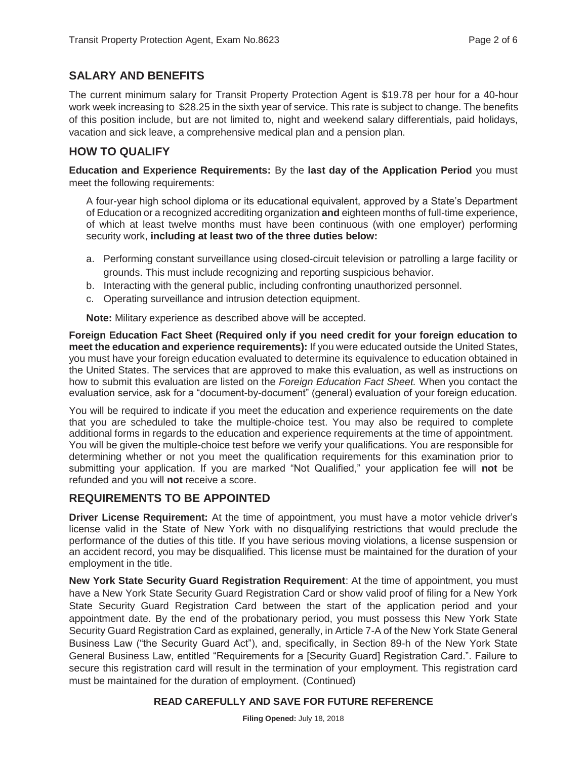### **SALARY AND BENEFITS**

The current minimum salary for Transit Property Protection Agent is \$19.78 per hour for a 40-hour work week increasing to \$28.25 in the sixth year of service. This rate is subject to change. The benefits of this position include, but are not limited to, night and weekend salary differentials, paid holidays, vacation and sick leave, a comprehensive medical plan and a pension plan.

#### **HOW TO QUALIFY**

**Education and Experience Requirements:** By the **last day of the Application Period** you must meet the following requirements:

A four-year high school diploma or its educational equivalent, approved by a State's Department of Education or a recognized accrediting organization **and** eighteen months of full-time experience, of which at least twelve months must have been continuous (with one employer) performing security work, **including at least two of the three duties below:** 

- a. Performing constant surveillance using closed-circuit television or patrolling a large facility or grounds. This must include recognizing and reporting suspicious behavior.
- b. Interacting with the general public, including confronting unauthorized personnel.
- c. Operating surveillance and intrusion detection equipment.

**Note:** Military experience as described above will be accepted.

**Foreign Education Fact Sheet (Required only if you need credit for your foreign education to meet the education and experience requirements):** If you were educated outside the United States, you must have your foreign education evaluated to determine its equivalence to education obtained in the United States. The services that are approved to make this evaluation, as well as instructions on how to submit this evaluation are listed on the *Foreign Education Fact Sheet.* When you contact the evaluation service, ask for a "document-by-document" (general) evaluation of your foreign education.

You will be required to indicate if you meet the education and experience requirements on the date that you are scheduled to take the multiple-choice test. You may also be required to complete additional forms in regards to the education and experience requirements at the time of appointment. You will be given the multiple-choice test before we verify your qualifications. You are responsible for determining whether or not you meet the qualification requirements for this examination prior to submitting your application. If you are marked "Not Qualified," your application fee will **not** be refunded and you will **not** receive a score.

#### **REQUIREMENTS TO BE APPOINTED**

**Driver License Requirement:** At the time of appointment, you must have a motor vehicle driver's license valid in the State of New York with no disqualifying restrictions that would preclude the performance of the duties of this title. If you have serious moving violations, a license suspension or an accident record, you may be disqualified. This license must be maintained for the duration of your employment in the title.

**New York State Security Guard Registration Requirement**: At the time of appointment, you must have a New York State Security Guard Registration Card or show valid proof of filing for a New York State Security Guard Registration Card between the start of the application period and your appointment date. By the end of the probationary period, you must possess this New York State Security Guard Registration Card as explained, generally, in Article 7-A of the New York State General Business Law ("the Security Guard Act"), and, specifically, in Section 89-h of the New York State General Business Law, entitled "Requirements for a [Security Guard] Registration Card.". Failure to secure this registration card will result in the termination of your employment. This registration card must be maintained for the duration of employment. (Continued)

#### **READ CAREFULLY AND SAVE FOR FUTURE REFERENCE**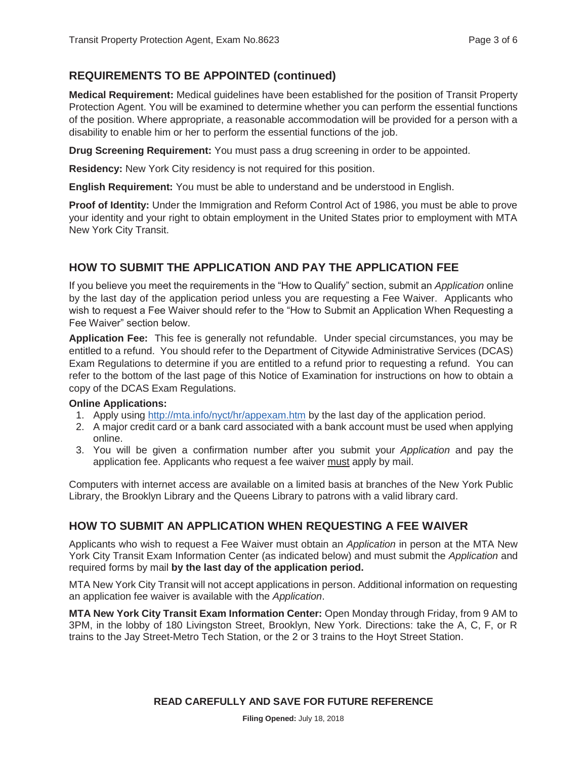#### **REQUIREMENTS TO BE APPOINTED (continued)**

**Medical Requirement:** Medical guidelines have been established for the position of Transit Property Protection Agent. You will be examined to determine whether you can perform the essential functions of the position. Where appropriate, a reasonable accommodation will be provided for a person with a disability to enable him or her to perform the essential functions of the job.

**Drug Screening Requirement:** You must pass a drug screening in order to be appointed.

**Residency:** New York City residency is not required for this position.

**English Requirement:** You must be able to understand and be understood in English.

**Proof of Identity:** Under the Immigration and Reform Control Act of 1986, you must be able to prove your identity and your right to obtain employment in the United States prior to employment with MTA New York City Transit.

### **HOW TO SUBMIT THE APPLICATION AND PAY THE APPLICATION FEE**

If you believe you meet the requirements in the "How to Qualify" section, submit an *Application* online by the last day of the application period unless you are requesting a Fee Waiver. Applicants who wish to request a Fee Waiver should refer to the "How to Submit an Application When Requesting a Fee Waiver" section below.

**Application Fee:** This fee is generally not refundable. Under special circumstances, you may be entitled to a refund. You should refer to the Department of Citywide Administrative Services (DCAS) Exam Regulations to determine if you are entitled to a refund prior to requesting a refund. You can refer to the bottom of the last page of this Notice of Examination for instructions on how to obtain a copy of the DCAS Exam Regulations.

#### **Online Applications:**

- 1. Apply using http://mta.info/nyct/hr/appexam.htm by the last day of the application period.
- 2. A major credit card or a bank card associated with a bank account must be used when applying online.
- 3. You will be given a confirmation number after you submit your *Application* and pay the application fee. Applicants who request a fee waiver must apply by mail.

Computers with internet access are available on a limited basis at branches of the New York Public Library, the Brooklyn Library and the Queens Library to patrons with a valid library card.

#### **HOW TO SUBMIT AN APPLICATION WHEN REQUESTING A FEE WAIVER**

Applicants who wish to request a Fee Waiver must obtain an *Application* in person at the MTA New York City Transit Exam Information Center (as indicated below) and must submit the *Application* and required forms by mail **by the last day of the application period.** 

MTA New York City Transit will not accept applications in person. Additional information on requesting an application fee waiver is available with the *Application*.

**MTA New York City Transit Exam Information Center:** Open Monday through Friday, from 9 AM to 3PM, in the lobby of 180 Livingston Street, Brooklyn, New York. Directions: take the A, C, F, or R trains to the Jay Street-Metro Tech Station, or the 2 or 3 trains to the Hoyt Street Station.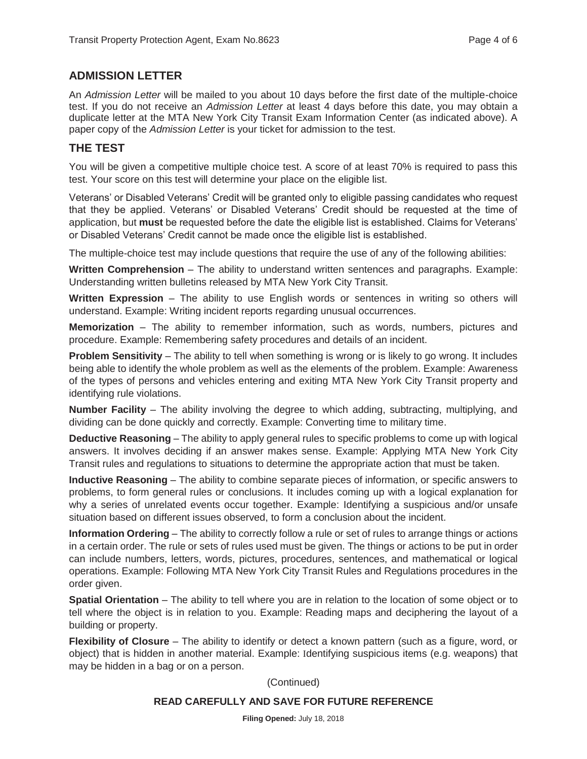### **ADMISSION LETTER**

An *Admission Letter* will be mailed to you about 10 days before the first date of the multiple-choice test. If you do not receive an *Admission Letter* at least 4 days before this date, you may obtain a duplicate letter at the MTA New York City Transit Exam Information Center (as indicated above). A paper copy of the *Admission Letter* is your ticket for admission to the test.

#### **THE TEST**

You will be given a competitive multiple choice test. A score of at least 70% is required to pass this test. Your score on this test will determine your place on the eligible list.

Veterans' or Disabled Veterans' Credit will be granted only to eligible passing candidates who request that they be applied. Veterans' or Disabled Veterans' Credit should be requested at the time of application, but **must** be requested before the date the eligible list is established. Claims for Veterans' or Disabled Veterans' Credit cannot be made once the eligible list is established.

The multiple-choice test may include questions that require the use of any of the following abilities:

**Written Comprehension** – The ability to understand written sentences and paragraphs. Example: Understanding written bulletins released by MTA New York City Transit.

**Written Expression** – The ability to use English words or sentences in writing so others will understand. Example: Writing incident reports regarding unusual occurrences.

**Memorization** – The ability to remember information, such as words, numbers, pictures and procedure. Example: Remembering safety procedures and details of an incident.

**Problem Sensitivity** – The ability to tell when something is wrong or is likely to go wrong. It includes being able to identify the whole problem as well as the elements of the problem. Example: Awareness of the types of persons and vehicles entering and exiting MTA New York City Transit property and identifying rule violations.

**Number Facility** – The ability involving the degree to which adding, subtracting, multiplying, and dividing can be done quickly and correctly. Example: Converting time to military time.

**Deductive Reasoning** – The ability to apply general rules to specific problems to come up with logical answers. It involves deciding if an answer makes sense. Example: Applying MTA New York City Transit rules and regulations to situations to determine the appropriate action that must be taken.

**Inductive Reasoning** – The ability to combine separate pieces of information, or specific answers to problems, to form general rules or conclusions. It includes coming up with a logical explanation for why a series of unrelated events occur together. Example: Identifying a suspicious and/or unsafe situation based on different issues observed, to form a conclusion about the incident.

**Information Ordering** – The ability to correctly follow a rule or set of rules to arrange things or actions in a certain order. The rule or sets of rules used must be given. The things or actions to be put in order can include numbers, letters, words, pictures, procedures, sentences, and mathematical or logical operations. Example: Following MTA New York City Transit Rules and Regulations procedures in the order given.

**Spatial Orientation** – The ability to tell where you are in relation to the location of some object or to tell where the object is in relation to you. Example: Reading maps and deciphering the layout of a building or property.

**Flexibility of Closure** – The ability to identify or detect a known pattern (such as a figure, word, or object) that is hidden in another material. Example: Identifying suspicious items (e.g. weapons) that may be hidden in a bag or on a person.

(Continued)

#### **READ CAREFULLY AND SAVE FOR FUTURE REFERENCE**

**Filing Opened:** July 18, 2018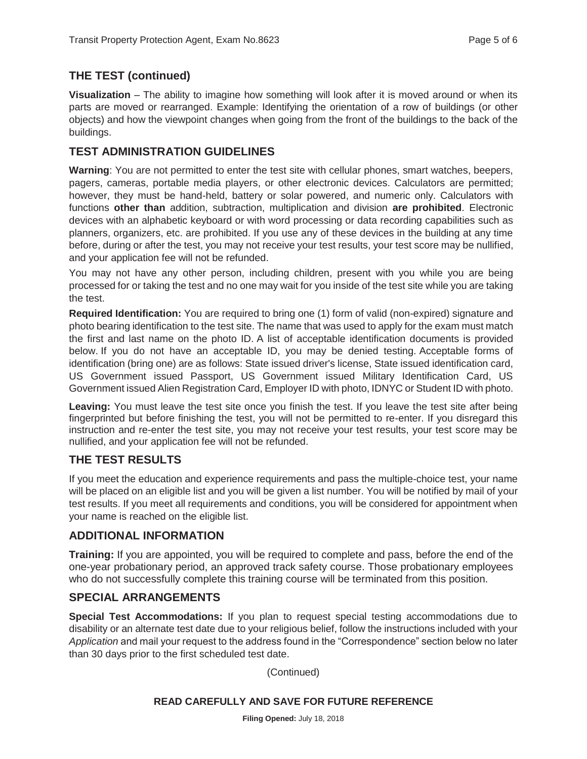#### **THE TEST (continued)**

**Visualization** – The ability to imagine how something will look after it is moved around or when its parts are moved or rearranged. Example: Identifying the orientation of a row of buildings (or other objects) and how the viewpoint changes when going from the front of the buildings to the back of the buildings.

#### **TEST ADMINISTRATION GUIDELINES**

**Warning**: You are not permitted to enter the test site with cellular phones, smart watches, beepers, pagers, cameras, portable media players, or other electronic devices. Calculators are permitted; however, they must be hand-held, battery or solar powered, and numeric only. Calculators with functions **other than** addition, subtraction, multiplication and division **are prohibited**. Electronic devices with an alphabetic keyboard or with word processing or data recording capabilities such as planners, organizers, etc. are prohibited. If you use any of these devices in the building at any time before, during or after the test, you may not receive your test results, your test score may be nullified, and your application fee will not be refunded.

You may not have any other person, including children, present with you while you are being processed for or taking the test and no one may wait for you inside of the test site while you are taking the test.

**Required Identification:** You are required to bring one (1) form of valid (non-expired) signature and photo bearing identification to the test site. The name that was used to apply for the exam must match the first and last name on the photo ID. A list of acceptable identification documents is provided below. If you do not have an acceptable ID, you may be denied testing. Acceptable forms of identification (bring one) are as follows: State issued driver's license, State issued identification card, US Government issued Passport, US Government issued Military Identification Card, US Government issued Alien Registration Card, Employer ID with photo, IDNYC or Student ID with photo.

**Leaving:** You must leave the test site once you finish the test. If you leave the test site after being fingerprinted but before finishing the test, you will not be permitted to re-enter. If you disregard this instruction and re-enter the test site, you may not receive your test results, your test score may be nullified, and your application fee will not be refunded.

# **THE TEST RESULTS**

If you meet the education and experience requirements and pass the multiple-choice test, your name will be placed on an eligible list and you will be given a list number. You will be notified by mail of your test results. If you meet all requirements and conditions, you will be considered for appointment when your name is reached on the eligible list.

#### **ADDITIONAL INFORMATION**

**Training:** If you are appointed, you will be required to complete and pass, before the end of the one-year probationary period, an approved track safety course. Those probationary employees who do not successfully complete this training course will be terminated from this position.

#### **SPECIAL ARRANGEMENTS**

**Special Test Accommodations:** If you plan to request special testing accommodations due to disability or an alternate test date due to your religious belief, follow the instructions included with your *Application* and mail your request to the address found in the "Correspondence" section below no later than 30 days prior to the first scheduled test date.

(Continued)

#### **READ CAREFULLY AND SAVE FOR FUTURE REFERENCE**

**Filing Opened:** July 18, 2018